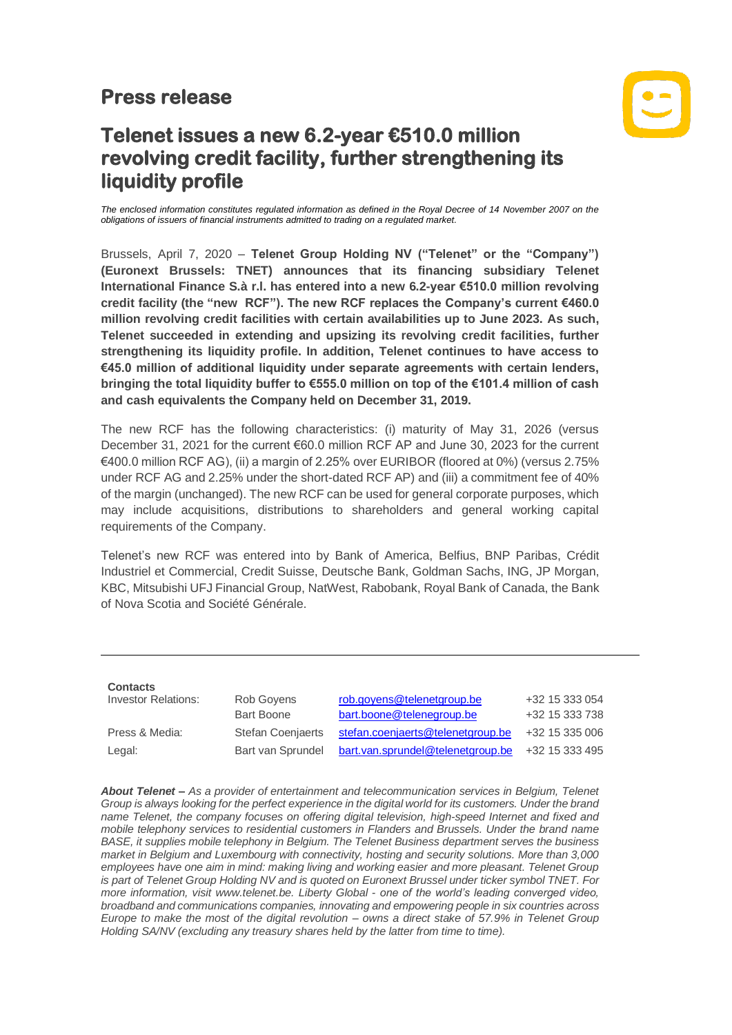## **Press release**



## **Telenet issues a new 6.2-year €510.0 million revolving credit facility, further strengthening its liquidity profile**

*The enclosed information constitutes regulated information as defined in the Royal Decree of 14 November 2007 on the obligations of issuers of financial instruments admitted to trading on a regulated market.*

Brussels, April 7, 2020 – **Telenet Group Holding NV ("Telenet" or the "Company") (Euronext Brussels: TNET) announces that its financing subsidiary Telenet International Finance S.à r.l. has entered into a new 6.2-year €510.0 million revolving credit facility (the "new RCF"). The new RCF replaces the Company's current €460.0 million revolving credit facilities with certain availabilities up to June 2023. As such, Telenet succeeded in extending and upsizing its revolving credit facilities, further strengthening its liquidity profile. In addition, Telenet continues to have access to €45.0 million of additional liquidity under separate agreements with certain lenders, bringing the total liquidity buffer to €555.0 million on top of the €101.4 million of cash and cash equivalents the Company held on December 31, 2019.**

The new RCF has the following characteristics: (i) maturity of May 31, 2026 (versus December 31, 2021 for the current €60.0 million RCF AP and June 30, 2023 for the current €400.0 million RCF AG), (ii) a margin of 2.25% over EURIBOR (floored at 0%) (versus 2.75% under RCF AG and 2.25% under the short-dated RCF AP) and (iii) a commitment fee of 40% of the margin (unchanged). The new RCF can be used for general corporate purposes, which may include acquisitions, distributions to shareholders and general working capital requirements of the Company.

Telenet's new RCF was entered into by Bank of America, Belfius, BNP Paribas, Crédit Industriel et Commercial, Credit Suisse, Deutsche Bank, Goldman Sachs, ING, JP Morgan, KBC, Mitsubishi UFJ Financial Group, NatWest, Rabobank, Royal Bank of Canada, the Bank of Nova Scotia and Société Générale.

| <b>Contacts</b>            |                          |                                   |                |
|----------------------------|--------------------------|-----------------------------------|----------------|
| <b>Investor Relations:</b> | Rob Govens               | rob.goyens@telenetgroup.be        | +32 15 333 054 |
|                            | <b>Bart Boone</b>        | bart.boone@telenegroup.be         | +32 15 333 738 |
| Press & Media:             | <b>Stefan Coenjaerts</b> | stefan.coenjaerts@telenetgroup.be | +32 15 335 006 |
| Legal:                     | Bart van Sprundel        | bart.van.sprundel@telenetgroup.be | +32 15 333 495 |

*About Telenet – As a provider of entertainment and telecommunication services in Belgium, Telenet Group is always looking for the perfect experience in the digital world for its customers. Under the brand name Telenet, the company focuses on offering digital television, high-speed Internet and fixed and mobile telephony services to residential customers in Flanders and Brussels. Under the brand name BASE, it supplies mobile telephony in Belgium. The Telenet Business department serves the business market in Belgium and Luxembourg with connectivity, hosting and security solutions. More than 3,000 employees have one aim in mind: making living and working easier and more pleasant. Telenet Group is part of Telenet Group Holding NV and is quoted on Euronext Brussel under ticker symbol TNET. For more information, visit [www.telenet.be.](https://www2.telenet.be/en/) Liberty Global - one of the world's leading converged video, broadband and communications companies, innovating and empowering people in six countries across Europe to make the most of the digital revolution – owns a direct stake of 57.9% in Telenet Group Holding SA/NV (excluding any treasury shares held by the latter from time to time).*